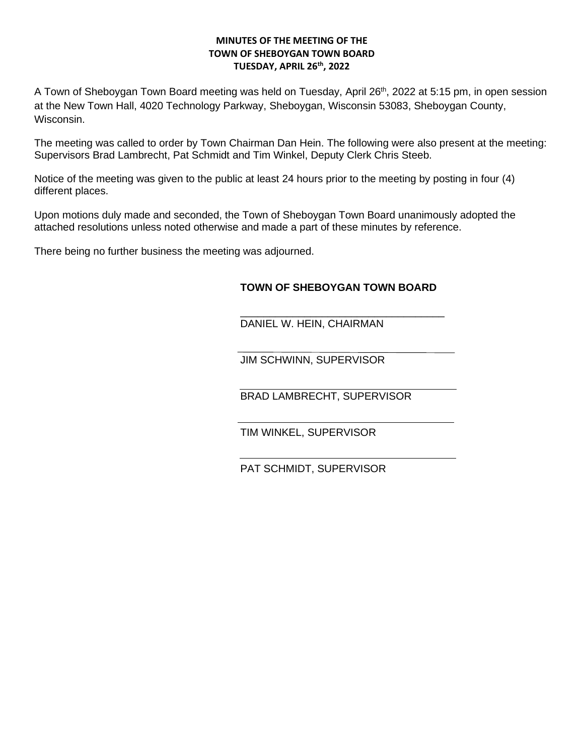## **MINUTES OF THE MEETING OF THE TOWN OF SHEBOYGAN TOWN BOARD TUESDAY, APRIL 26th, 2022**

A Town of Sheboygan Town Board meeting was held on Tuesday, April 26<sup>th</sup>, 2022 at 5:15 pm, in open session at the New Town Hall, 4020 Technology Parkway, Sheboygan, Wisconsin 53083, Sheboygan County, Wisconsin.

The meeting was called to order by Town Chairman Dan Hein. The following were also present at the meeting: Supervisors Brad Lambrecht, Pat Schmidt and Tim Winkel, Deputy Clerk Chris Steeb.

Notice of the meeting was given to the public at least 24 hours prior to the meeting by posting in four (4) different places.

Upon motions duly made and seconded, the Town of Sheboygan Town Board unanimously adopted the attached resolutions unless noted otherwise and made a part of these minutes by reference.

There being no further business the meeting was adjourned.

## **TOWN OF SHEBOYGAN TOWN BOARD**

\_\_\_\_\_\_\_\_\_\_\_\_\_\_\_\_\_\_\_\_\_\_\_\_\_\_\_\_\_\_\_\_\_\_\_ DANIEL W. HEIN, CHAIRMAN

JIM SCHWINN, SUPERVISOR

BRAD LAMBRECHT, SUPERVISOR

TIM WINKEL, SUPERVISOR

PAT SCHMIDT, SUPERVISOR